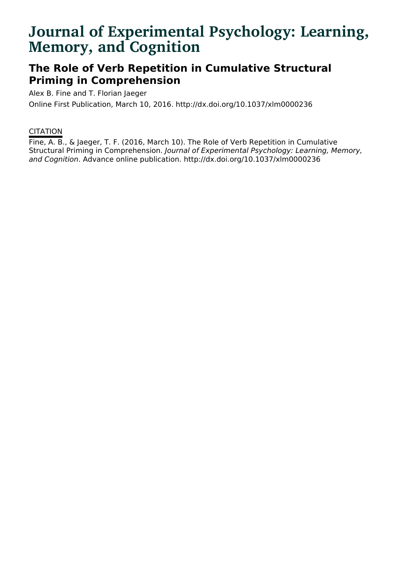# **Journal of Experimental Psychology: Learning, Memory, and Cognition**

## **The Role of Verb Repetition in Cumulative Structural Priming in Comprehension**

Alex B. Fine and T. Florian Jaeger

Online First Publication, March 10, 2016. http://dx.doi.org/10.1037/xlm0000236

### **CITATION**

Fine, A. B., & Jaeger, T. F. (2016, March 10). The Role of Verb Repetition in Cumulative Structural Priming in Comprehension. Journal of Experimental Psychology: Learning, Memory, and Cognition. Advance online publication. http://dx.doi.org/10.1037/xlm0000236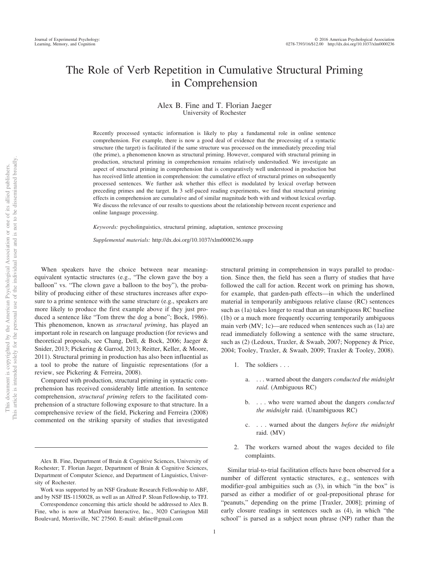### The Role of Verb Repetition in Cumulative Structural Priming in Comprehension

#### Alex B. Fine and T. Florian Jaeger University of Rochester

Recently processed syntactic information is likely to play a fundamental role in online sentence comprehension. For example, there is now a good deal of evidence that the processing of a syntactic structure (the target) is facilitated if the same structure was processed on the immediately preceding trial (the prime), a phenomenon known as structural priming. However, compared with structural priming in production, structural priming in comprehension remains relatively understudied. We investigate an aspect of structural priming in comprehension that is comparatively well understood in production but has received little attention in comprehension: the cumulative effect of structural primes on subsequently processed sentences. We further ask whether this effect is modulated by lexical overlap between preceding primes and the target. In 3 self-paced reading experiments, we find that structural priming effects in comprehension are cumulative and of similar magnitude both with and without lexical overlap. We discuss the relevance of our results to questions about the relationship between recent experience and online language processing.

*Keywords:* psycholinguistics, structural priming, adaptation, sentence processing

*Supplemental materials:* http://dx.doi.org/10.1037/xlm0000236.supp

When speakers have the choice between near meaningequivalent syntactic structures (e.g., "The clown gave the boy a balloon" vs. "The clown gave a balloon to the boy"), the probability of producing either of these structures increases after exposure to a prime sentence with the same structure (e.g., speakers are more likely to produce the first example above if they just produced a sentence like "Tom threw the dog a bone"; Bock, 1986). This phenomenon, known as *structural priming*, has played an important role in research on language production (for reviews and theoretical proposals, see Chang, Dell, & Bock, 2006; Jaeger & Snider, 2013; Pickering & Garrod, 2013; Reitter, Keller, & Moore, 2011). Structural priming in production has also been influential as a tool to probe the nature of linguistic representations (for a review, see Pickering & Ferreira, 2008).

Compared with production, structural priming in syntactic comprehension has received considerably little attention. In sentence comprehension, *structural priming* refers to the facilitated comprehension of a structure following exposure to that structure. In a comprehensive review of the field, Pickering and Ferreira (2008) commented on the striking sparsity of studies that investigated

structural priming in comprehension in ways parallel to production. Since then, the field has seen a flurry of studies that have followed the call for action. Recent work on priming has shown, for example, that garden-path effects—in which the underlined material in temporarily ambiguous relative clause (RC) sentences such as (1a) takes longer to read than an unambiguous RC baseline (1b) or a much more frequently occurring temporarily ambiguous main verb (MV; 1c)—are reduced when sentences such as (1a) are read immediately following a sentence with the same structure, such as (2) (Ledoux, Traxler, & Swaab, 2007; Noppeney & Price, 2004; Tooley, Traxler, & Swaab, 2009; Traxler & Tooley, 2008).

- 1. The soldiers...
	- a. . . . warned about the dangers *conducted the midnight raid*. (Ambiguous RC)
	- b. . . . who were warned about the dangers *conducted the midnight* raid. (Unambiguous RC)
	- c. . . . warned about the dangers *before the midnight* raid. (MV)
- 2. The workers warned about the wages decided to file complaints.

Similar trial-to-trial facilitation effects have been observed for a number of different syntactic structures, e.g., sentences with modifier-goal ambiguities such as (3), in which "in the box" is parsed as either a modifier of or goal-prepositional phrase for "peanuts," depending on the prime [Traxler, 2008]; priming of early closure readings in sentences such as (4), in which "the school" is parsed as a subject noun phrase (NP) rather than the

Alex B. Fine, Department of Brain & Cognitive Sciences, University of Rochester; T. Florian Jaeger, Department of Brain & Cognitive Sciences, Department of Computer Science, and Department of Linguistics, University of Rochester.

Work was supported by an NSF Graduate Research Fellowship to ABF, and by NSF IIS-1150028, as well as an Alfred P. Sloan Fellowship, to TFJ.

Correspondence concerning this article should be addressed to Alex B. Fine, who is now at MaxPoint Interactive, Inc., 3020 Carrington Mill Boulevard, Morrisville, NC 27560. E-mail: abfine@gmail.com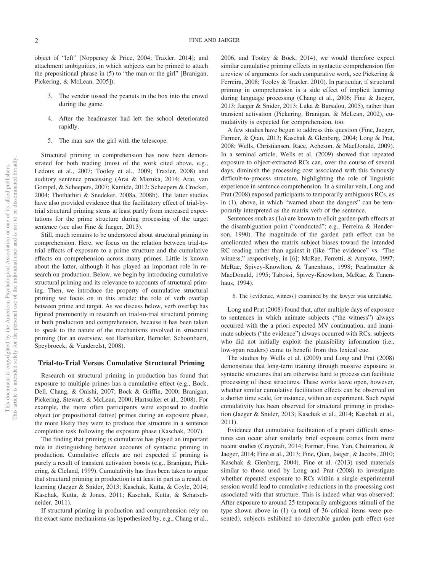object of "left" [Noppeney & Price, 2004; Traxler, 2014]; and attachment ambiguities, in which subjects can be primed to attach the prepositional phrase in (5) to "the man or the girl" [Branigan, Pickering, & McLean, 2005]).

- 3. The vendor tossed the peanuts in the box into the crowd during the game.
- 4. After the headmaster had left the school deteriorated rapidly.
- 5. The man saw the girl with the telescope.

Structural priming in comprehension has now been demonstrated for both reading (most of the work cited above, e.g., Ledoux et al., 2007; Tooley et al., 2009; Traxler, 2008) and auditory sentence processing (Arai & Mazuka, 2014; Arai, van Gompel, & Scheepers, 2007; Kamide, 2012; Scheepers & Crocker, 2004; Thothathiri & Snedeker, 2008a, 2008b). The latter studies have also provided evidence that the facilitatory effect of trial-bytrial structural priming stems at least partly from increased expectations for the prime structure during processing of the target sentence (see also Fine & Jaeger, 2013).

Still, much remains to be understood about structural priming in comprehension. Here, we focus on the relation between trial-totrial effects of exposure to a prime structure and the cumulative effects on comprehension across many primes. Little is known about the latter, although it has played an important role in research on production. Below, we begin by introducing cumulative structural priming and its relevance to accounts of structural priming. Then, we introduce the property of cumulative structural priming we focus on in this article: the role of verb overlap between prime and target. As we discuss below, verb overlap has figured prominently in research on trial-to-trial structural priming in both production and comprehension, because it has been taken to speak to the nature of the mechanisms involved in structural priming (for an overview, see Hartsuiker, Bernolet, Schoonbaert, Speybroeck, & Vanderelst, 2008).

#### **Trial-to-Trial Versus Cumulative Structural Priming**

Research on structural priming in production has found that exposure to multiple primes has a cumulative effect (e.g., Bock, Dell, Chang, & Onishi, 2007; Bock & Griffin, 2000; Branigan, Pickering, Stewart, & McLean, 2000; Hartsuiker et al., 2008). For example, the more often participants were exposed to double object (or prepositional dative) primes during an exposure phase, the more likely they were to produce that structure in a sentence completion task following the exposure phase (Kaschak, 2007).

The finding that priming is cumulative has played an important role in distinguishing between accounts of syntactic priming in production. Cumulative effects are not expected if priming is purely a result of transient activation boosts (e.g., Branigan, Pickering, & Cleland, 1999). Cumulativity has thus been taken to argue that structural priming in production is at least in part as a result of learning (Jaeger & Snider, 2013; Kaschak, Kutta, & Coyle, 2014; Kaschak, Kutta, & Jones, 2011; Kaschak, Kutta, & Schatschneider, 2011).

If structural priming in production and comprehension rely on the exact same mechanisms (as hypothesized by, e.g., Chang et al.,

2006, and Tooley & Bock, 2014), we would therefore expect similar cumulative priming effects in syntactic comprehension (for a review of arguments for such comparative work, see Pickering & Ferreira, 2008; Tooley & Traxler, 2010). In particular, if structural priming in comprehension is a side effect of implicit learning during language processing (Chang et al., 2006; Fine & Jaeger, 2013; Jaeger & Snider, 2013; Luka & Barsalou, 2005), rather than transient activation (Pickering, Branigan, & McLean, 2002), cumulativity is expected for comprehension, too.

A few studies have begun to address this question (Fine, Jaeger, Farmer, & Qian, 2013; Kaschak & Glenberg, 2004; Long & Prat, 2008; Wells, Christiansen, Race, Acheson, & MacDonald, 2009). In a seminal article, Wells et al. (2009) showed that repeated exposure to object-extracted RCs can, over the course of several days, diminish the processing cost associated with this famously difficult-to-process structure, highlighting the role of linguistic experience in sentence comprehension. In a similar vein, Long and Prat (2008) exposed participants to temporarily ambiguous RCs, as in (1), above, in which "warned about the dangers" can be temporarily interpreted as the matrix verb of the sentence.

Sentences such as (1a) are known to elicit garden-path effects at the disambiguation point ("conducted"; e.g., Ferreira & Henderson, 1990). The magnitude of the garden path effect can be ameliorated when the matrix subject biases toward the intended RC reading rather than against it (like "The evidence" vs. "The witness," respectively, in [6]; McRae, Ferretti, & Amyote, 1997; McRae, Spivey-Knowlton, & Tanenhaus, 1998; Pearlmutter & MacDonald, 1995; Tabossi, Spivey-Knowlton, McRae, & Tanenhaus, 1994).

6. The {evidence, witness} examined by the lawyer was unreliable.

Long and Prat (2008) found that, after multiple days of exposure to sentences in which animate subjects ("the witness") always occurred with the a priori expected MV continuation, and inanimate subjects ("the evidence") always occurred with RCs, subjects who did not initially exploit the plausibility information (i.e., low-span readers) came to benefit from this lexical cue.

The studies by Wells et al. (2009) and Long and Prat (2008) demonstrate that long-term training through massive exposure to syntactic structures that are otherwise hard to process can facilitate processing of these structures. These works leave open, however, whether similar cumulative facilitation effects can be observed on a shorter time scale, for instance, within an experiment. Such *rapid* cumulativity has been observed for structural priming in production (Jaeger & Snider, 2013; Kaschak et al., 2014; Kaschak et al., 2011).

Evidence that cumulative facilitation of a priori difficult structures can occur after similarly brief exposure comes from more recent studies (Craycraft, 2014; Farmer, Fine, Yan, Cheimariou, & Jaeger, 2014; Fine et al., 2013; Fine, Qian, Jaeger, & Jacobs, 2010; Kaschak & Glenberg, 2004). Fine et al. (2013) used materials similar to those used by Long and Prat (2008) to investigate whether repeated exposure to RCs within a single experimental session would lead to cumulative reductions in the processing cost associated with that structure. This is indeed what was observed: After exposure to around 25 temporarily ambiguous stimuli of the type shown above in (1) (a total of 36 critical items were presented), subjects exhibited no detectable garden path effect (see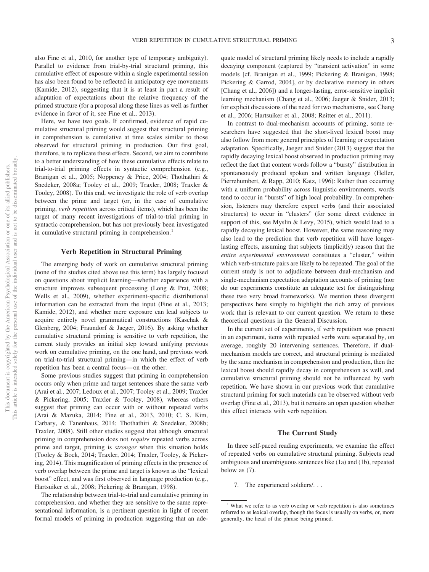also Fine et al., 2010, for another type of temporary ambiguity). Parallel to evidence from trial-by-trial structural priming, this cumulative effect of exposure within a single experimental session has also been found to be reflected in anticipatory eye movements (Kamide, 2012), suggesting that it is at least in part a result of adaptation of expectations about the relative frequency of the primed structure (for a proposal along these lines as well as further evidence in favor of it, see Fine et al., 2013).

Here, we have two goals. If confirmed, evidence of rapid cumulative structural priming would suggest that structural priming in comprehension is cumulative at time scales similar to those observed for structural priming in production. Our first goal, therefore, is to replicate these effects. Second, we aim to contribute to a better understanding of how these cumulative effects relate to trial-to-trial priming effects in syntactic comprehension (e.g., Branigan et al., 2005; Noppeney & Price, 2004; Thothathiri & Snedeker, 2008a; Tooley et al., 2009; Traxler, 2008; Traxler & Tooley, 2008). To this end, we investigate the role of verb overlap between the prime and target (or, in the case of cumulative priming, *verb repetition* across critical items), which has been the target of many recent investigations of trial-to-trial priming in syntactic comprehension, but has not previously been investigated in cumulative structural priming in comprehension.<sup>1</sup>

#### **Verb Repetition in Structural Priming**

The emerging body of work on cumulative structural priming (none of the studies cited above use this term) has largely focused on questions about implicit learning—whether experience with a structure improves subsequent processing (Long & Prat, 2008; Wells et al., 2009), whether experiment-specific distributional information can be extracted from the input (Fine et al., 2013; Kamide, 2012), and whether mere exposure can lead subjects to acquire entirely novel grammatical constructions (Kaschak & Glenberg, 2004; Fraundorf & Jaeger, 2016). By asking whether cumulative structural priming is sensitive to verb repetition, the current study provides an initial step toward unifying previous work on cumulative priming, on the one hand, and previous work on trial-to-trial structural priming—in which the effect of verb repetition has been a central focus— on the other.

Some previous studies suggest that priming in comprehension occurs only when prime and target sentences share the same verb (Arai et al., 2007; Ledoux et al., 2007; Tooley et al., 2009; Traxler & Pickering, 2005; Traxler & Tooley, 2008), whereas others suggest that priming can occur with or without repeated verbs (Arai & Mazuka, 2014; Fine et al., 2013, 2010; C. S. Kim, Carbary, & Tanenhaus, 2014; Thothathiri & Snedeker, 2008b; Traxler, 2008). Still other studies suggest that although structural priming in comprehension does not *require* repeated verbs across prime and target, priming is *stronger* when this situation holds (Tooley & Bock, 2014; Traxler, 2014; Traxler, Tooley, & Pickering, 2014). This magnification of priming effects in the presence of verb overlap between the prime and target is known as the "lexical boost" effect, and was first observed in language production (e.g., Hartsuiker et al., 2008; Pickering & Branigan, 1998).

The relationship between trial-to-trial and cumulative priming in comprehension, and whether they are sensitive to the same representational information, is a pertinent question in light of recent formal models of priming in production suggesting that an adequate model of structural priming likely needs to include a rapidly decaying component (captured by "transient activation" in some models [cf. Branigan et al., 1999; Pickering & Branigan, 1998; Pickering & Garrod, 2004], or by declarative memory in others [Chang et al., 2006]) and a longer-lasting, error-sensitive implicit learning mechanism (Chang et al., 2006; Jaeger & Snider, 2013; for explicit discussions of the need for two mechanisms, see Chang et al., 2006; Hartsuiker et al., 2008; Reitter et al., 2011).

In contrast to dual-mechanism accounts of priming, some researchers have suggested that the short-lived lexical boost may also follow from more general principles of learning or expectation adaptation. Specifically, Jaeger and Snider (2013) suggest that the rapidly decaying lexical boost observed in production priming may reflect the fact that content words follow a "bursty" distribution in spontaneously produced spoken and written language (Heller, Pierrehumbert, & Rapp, 2010; Katz, 1996): Rather than occurring with a uniform probability across linguistic environments, words tend to occur in "bursts" of high local probability. In comprehension, listeners may therefore expect verbs (and their associated structures) to occur in "clusters" (for some direct evidence in support of this, see Myslin & Levy, 2015), which would lead to a rapidly decaying lexical boost. However, the same reasoning may also lead to the prediction that verb repetition will have longerlasting effects, assuming that subjects (implicitly) reason that the *entire experimental environment* constitutes a "cluster," within which verb-structure pairs are likely to be repeated. The goal of the current study is not to adjudicate between dual-mechanism and single-mechanism expectation adaptation accounts of priming (nor do our experiments constitute an adequate test for distinguishing these two very broad frameworks). We mention these divergent perspectives here simply to highlight the rich array of previous work that is relevant to our current question. We return to these theoretical questions in the General Discussion.

In the current set of experiments, if verb repetition was present in an experiment, items with repeated verbs were separated by, on average, roughly 20 intervening sentences. Therefore, if dualmechanism models are correct, and structural priming is mediated by the same mechanism in comprehension and production, then the lexical boost should rapidly decay in comprehension as well, and cumulative structural priming should not be influenced by verb repetition. We have shown in our previous work that cumulative structural priming for such materials can be observed without verb overlap (Fine et al., 2013), but it remains an open question whether this effect interacts with verb repetition.

#### **The Current Study**

In three self-paced reading experiments, we examine the effect of repeated verbs on cumulative structural priming. Subjects read ambiguous and unambiguous sentences like (1a) and (1b), repeated below as (7).

7. The experienced soldiers/. . .

<sup>&</sup>lt;sup>1</sup> What we refer to as verb overlap or verb repetition is also sometimes referred to as lexical overlap, though the focus is usually on verbs, or, more generally, the head of the phrase being primed.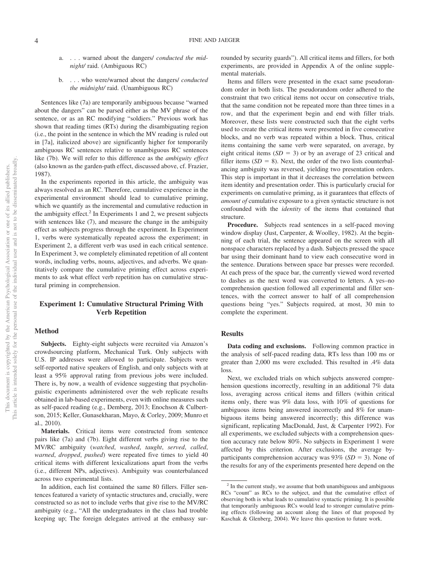- a. . . . warned about the dangers/ *conducted the midnight/* raid. (Ambiguous RC)
- b. . . . who were/warned about the dangers/ *conducted the midnight/* raid. (Unambiguous RC)

Sentences like (7a) are temporarily ambiguous because "warned about the dangers" can be parsed either as the MV phrase of the sentence, or as an RC modifying "soldiers." Previous work has shown that reading times (RTs) during the disambiguating region (i.e., the point in the sentence in which the MV reading is ruled out in [7a], italicized above) are significantly higher for temporarily ambiguous RC sentences relative to unambiguous RC sentences like (7b). We will refer to this difference as the *ambiguity effect* (also known as the garden-path effect, discussed above, cf. Frazier, 1987).

In the experiments reported in this article, the ambiguity was always resolved as an RC. Therefore, cumulative experience in the experimental environment should lead to cumulative priming, which we quantify as the incremental and cumulative reduction in the ambiguity effect.<sup>2</sup> In Experiments 1 and 2, we present subjects with sentences like (7), and measure the change in the ambiguity effect as subjects progress through the experiment. In Experiment 1, verbs were systematically repeated across the experiment; in Experiment 2, a different verb was used in each critical sentence. In Experiment 3, we completely eliminated repetition of all content words, including verbs, nouns, adjectives, and adverbs. We quantitatively compare the cumulative priming effect across experiments to ask what effect verb repetition has on cumulative structural priming in comprehension.

#### **Experiment 1: Cumulative Structural Priming With Verb Repetition**

#### **Method**

**Subjects.** Eighty-eight subjects were recruited via Amazon's crowdsourcing platform, Mechanical Turk. Only subjects with U.S. IP addresses were allowed to participate. Subjects were self-reported native speakers of English, and only subjects with at least a 95% approval rating from previous jobs were included. There is, by now, a wealth of evidence suggesting that psycholinguistic experiments administered over the web replicate results obtained in lab-based experiments, even with online measures such as self-paced reading (e.g., Demberg, 2013; Enochson & Culbertson, 2015; Keller, Gunasekharan, Mayo, & Corley, 2009; Munro et al., 2010).

**Materials.** Critical items were constructed from sentence pairs like (7a) and (7b). Eight different verbs giving rise to the MV/RC ambiguity (*watched*, *washed*, *taught*, *served*, *called*, *warned*, *dropped*, *pushed*) were repeated five times to yield 40 critical items with different lexicalizations apart from the verbs (i.e., different NPs, adjectives). Ambiguity was counterbalanced across two experimental lists.

In addition, each list contained the same 80 fillers. Filler sentences featured a variety of syntactic structures and, crucially, were constructed so as not to include verbs that give rise to the MV/RC ambiguity (e.g., "All the undergraduates in the class had trouble keeping up; The foreign delegates arrived at the embassy surrounded by security guards"). All critical items and fillers, for both experiments, are provided in Appendix A of the online supplemental materials.

Items and fillers were presented in the exact same pseudorandom order in both lists. The pseudorandom order adhered to the constraint that two critical items not occur on consecutive trials, that the same condition not be repeated more than three times in a row, and that the experiment begin and end with filler trials. Moreover, these lists were constructed such that the eight verbs used to create the critical items were presented in five consecutive blocks, and no verb was repeated within a block. Thus, critical items containing the same verb were separated, on average, by eight critical items  $(SD = 3)$  or by an average of 23 critical and filler items  $(SD = 8)$ . Next, the order of the two lists counterbalancing ambiguity was reversed, yielding two presentation orders. This step is important in that it decreases the correlation between item identity and presentation order. This is particularly crucial for experiments on cumulative priming, as it guarantees that effects of *amount of* cumulative exposure to a given syntactic structure is not confounded with the *identity* of the items that contained that structure.

**Procedure.** Subjects read sentences in a self-paced moving window display (Just, Carpenter, & Woolley, 1982). At the beginning of each trial, the sentence appeared on the screen with all nonspace characters replaced by a dash. Subjects pressed the space bar using their dominant hand to view each consecutive word in the sentence. Durations between space bar presses were recorded. At each press of the space bar, the currently viewed word reverted to dashes as the next word was converted to letters. A yes–no comprehension question followed all experimental and filler sentences, with the correct answer to half of all comprehension questions being "yes." Subjects required, at most, 30 min to complete the experiment.

#### **Results**

**Data coding and exclusions.** Following common practice in the analysis of self-paced reading data, RTs less than 100 ms or greater than 2,000 ms were excluded. This resulted in .4% data loss.

Next, we excluded trials on which subjects answered comprehension questions incorrectly, resulting in an additional 7% data loss, averaging across critical items and fillers (within critical items only, there was 9% data loss, with 10% of questions for ambiguous items being answered incorrectly and 8% for unambiguous items being answered incorrectly; this difference was significant, replicating MacDonald, Just, & Carpenter 1992). For all experiments, we excluded subjects with a comprehension question accuracy rate below 80%. No subjects in Experiment 1 were affected by this criterion. After exclusions, the average byparticipants comprehension accuracy was  $93\%$  (*SD* = 3). None of the results for any of the experiments presented here depend on the

 $2 \text{ In the current study, we assume that both unambiguous and ambiguous}$ RCs "count" as RCs to the subject, and that the cumulative effect of observing both is what leads to cumulative syntactic priming. It is possible that temporarily ambiguous RCs would lead to stronger cumulative priming effects (following an account along the lines of that proposed by Kaschak & Glenberg, 2004). We leave this question to future work.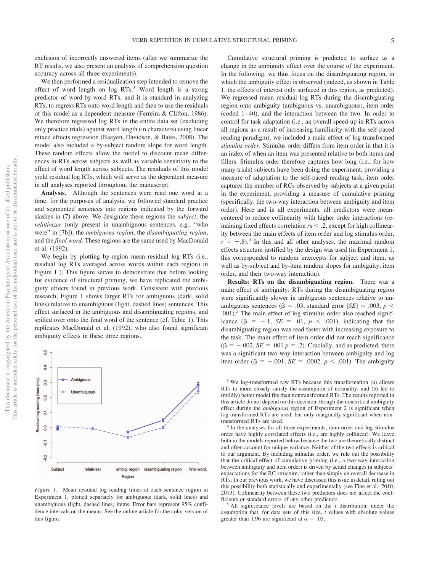exclusion of incorrectly answered items (after we summarize the RT results, we also present an analysis of comprehension question accuracy across all three experiments).

We then performed a residualization step intended to remove the effect of word length on  $log RTs$ .<sup>3</sup> Word length is a strong predictor of word-by-word RTs, and it is standard in analyzing RTs, to regress RTs onto word length and then to use the residuals of this model as a dependent measure (Ferreira & Clifton, 1986). We therefore regressed log RTs in the entire data set (excluding only practice trials) against word length (in characters) using linear mixed effects regression (Baayen, Davidson, & Bates, 2008). The model also included a by-subject random slope for word length. These random effects allow the model to discount mean differences in RTs across subjects as well as variable sensitivity to the effect of word length across subjects. The residuals of this model yield residual log RTs, which will serve as the dependent measure in all analyses reported throughout the manuscript.

**Analysis.** Although the sentences were read one word at a time, for the purposes of analysis, we followed standard practice and segmented sentences into regions indicated by the forward slashes in (7) above. We designate these regions the *subject*, the *relativizer* (only present in unambiguous sentences, e.g., "who were" in [7b]), the *ambiguous region*, the *disambiguating region*, and the *final word*. These regions are the same used by MacDonald et al. (1992).

We begin by plotting by-region mean residual log RTs (i.e., residual log RTs averaged across words within each region) in Figure 1 ). This figure serves to demonstrate that before looking for evidence of structural priming, we have replicated the ambiguity effects found in previous work. Consistent with previous research, Figure 1 shows larger RTs for ambiguous (dark, solid lines) relative to unambiguous (light, dashed lines) sentences. This effect surfaced in the ambiguous and disambiguating regions, and spilled over onto the final word of the sentence (cf. Table 1). This replicates MacDonald et al. (1992), who also found significant ambiguity effects in these three regions.



*Figure 1.* Mean residual log reading times at each sentence region in Experiment 1, plotted separately for ambiguous (dark, solid lines) and unambiguous (light, dashed lines) items. Error bars represent 95% confidence intervals on the means. See the online article for the color version of this figure.

Cumulative structural priming is predicted to surface as a change in the ambiguity effect over the course of the experiment. In the following, we thus focus on the disambiguating region, in which the ambiguity effect is observed (indeed, as shown in Table 1, the effects of interest only surfaced in this region, as predicted). We regressed mean residual log RTs during the disambiguating region onto ambiguity (ambiguous vs. unambiguous), item order (coded 1– 40), and the interaction between the two. In order to control for task adaptation (i.e., an overall speed-up in RTs across all regions as a result of increasing familiarity with the self-paced reading paradigm), we included a main effect of log-transformed *stimulus order*. Stimulus order differs from item order in that it is an index of when an item was presented relative to both items and fillers. Stimulus order therefore captures how long (i.e., for how many trials) subjects have been doing the experiment, providing a measure of adaptation to the self-paced reading task; item order captures the number of RCs observed by subjects at a given point in the experiment, providing a measure of cumulative priming (specifically, the two-way interaction between ambiguity and item order). Here and in all experiments, all predictors were meancentered to reduce collinearity with higher order interactions (remaining fixed effects correlation  $rs < 0.2$ , except for high collinearity between the main effects of item order and log stimulus order,  $r = -.8$ <sup>4</sup>. In this and all other analyses, the maximal random effects structure justified by the design was used (in Experiment 1, this corresponded to random intercepts for subject and item, as well as by-subject and by-item random slopes for ambiguity, item order, and their two-way interaction).

**Results: RTs on the disambiguating region.** There was a main effect of ambiguity: RTs during the disambiguating region were significantly slower in ambiguous sentences relative to unambiguous sentences ( $\beta = .03$ , standard error [*SE*] = .003,  $p <$ .001).5 The main effect of log stimulus order also reached significance  $(\beta = -1, \ SE = .01, \ p < .001)$ , indicating that the disambiguating region was read faster with increasing exposure to the task. The main effect of item order did not reach significance  $(\beta = -.002, SE = .001 p = .2)$ . Crucially, and as predicted, there was a significant two-way interaction between ambiguity and log item order  $(\beta = -.001, SE = .0002, p < .001)$ : The ambiguity

assumption that, for data sets of this size, *t* values with absolute values greater than 1.96 are significant at  $\alpha = .05$ .

<sup>3</sup> We log-transformed raw RTs because this transformation (a) allows RTs to more closely satisfy the assumption of normality, and (b) led to (mildly) better model fits than nontransformed RTs. The results reported in this article do not depend on this decision, though the noncritical ambiguity effect during the *ambiguous* region of Experiment 2 is significant when log-transformed RTs are used, but only marginally significant when non-

transformed RTs are used. <sup>4</sup> In the analyses for all three experiments, item order and log stimulus order have highly correlated effects (i.e., are highly collinear). We leave both in the models reported below because the two are theoretically distinct and often account for unique variance. Neither of the two effects is critical to our argument. By including stimulus order, we rule out the possibility that the critical effect of cumulative priming (i.e., a two-way interaction between ambiguity and item order) is driven by actual changes in subjects' expectations for the RC structure, rather than simply an overall decrease in RTs. In our previous work, we have discussed this issue in detail, ruling out this possibility both statistically and experimentally (see Fine et al., 2010, 2013). Collinearity between these two predictors does not affect the coefficients or standard errors of any other predictors.<br><sup>5</sup> All significance levels are based on the *t* distribution, under the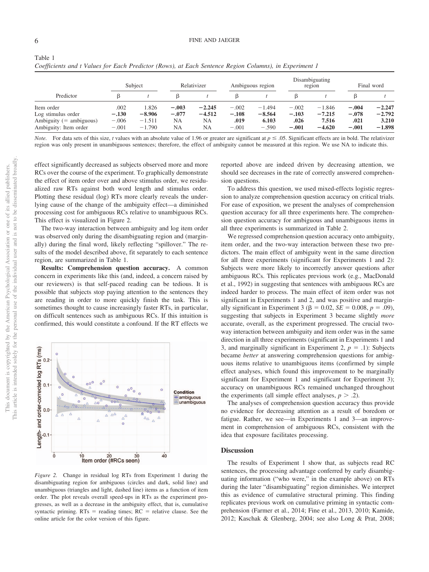Table 1

|                                                                                        |                                       | Subject                                   |                                | Relativizer                      |                                       | Ambiguous region                         |                                       | Disambiguating<br>region                  |                                       | Final word                                |
|----------------------------------------------------------------------------------------|---------------------------------------|-------------------------------------------|--------------------------------|----------------------------------|---------------------------------------|------------------------------------------|---------------------------------------|-------------------------------------------|---------------------------------------|-------------------------------------------|
| Predictor                                                                              |                                       |                                           |                                |                                  |                                       |                                          | ß                                     |                                           |                                       |                                           |
| Item order<br>Log stimulus order<br>Ambiguity $(=$ ambiguous)<br>Ambiguity: Item order | .002<br>$-.130$<br>$-.006$<br>$-.001$ | 1.826<br>$-8.906$<br>$-1.511$<br>$-1.790$ | $-.003$<br>$-.077$<br>NA<br>NA | $-2.245$<br>$-4.512$<br>NA<br>NA | $-.002$<br>$-.108$<br>.019<br>$-.001$ | $-1.494$<br>$-8.564$<br>6.103<br>$-.590$ | $-.002$<br>$-.103$<br>.026<br>$-.001$ | $-1.846$<br>$-7.215$<br>7.516<br>$-4.620$ | $-.004$<br>$-.078$<br>.021<br>$-.001$ | $-2.247$<br>$-2.792$<br>3.210<br>$-1.898$ |

*Coefficients and t Values for Each Predictor (Rows), at Each Sentence Region Columns), in Experiment 1*

*Note.* For data sets of this size, *t* values with an absolute value of 1.96 or greater are significant at  $p \le 0.05$ . Significant effects are in bold. The relativizer region was only present in unambiguous sentences; therefore, the effect of ambiguity cannot be measured at this region. We use NA to indicate this.

effect significantly decreased as subjects observed more and more RCs over the course of the experiment. To graphically demonstrate the effect of item order over and above stimulus order, we residualized raw RTs against both word length and stimulus order. Plotting these residual (log) RTs more clearly reveals the underlying cause of the change of the ambiguity effect—a diminished processing cost for ambiguous RCs relative to unambiguous RCs. This effect is visualized in Figure 2.

The two-way interaction between ambiguity and log item order was observed only during the disambiguating region and (marginally) during the final word, likely reflecting "spillover." The results of the model described above, fit separately to each sentence region, are summarized in Table 1.

**Results: Comprehension question accuracy.** A common concern in experiments like this (and, indeed, a concern raised by our reviewers) is that self-paced reading can be tedious. It is possible that subjects stop paying attention to the sentences they are reading in order to more quickly finish the task. This is sometimes thought to cause increasingly faster RTs, in particular, on difficult sentences such as ambiguous RCs. If this intuition is confirmed, this would constitute a confound. If the RT effects we



*Figure 2.* Change in residual log RTs from Experiment 1 during the disambiguating region for ambiguous (circles and dark, solid line) and unambiguous (triangles and light, dashed line) items as a function of item order. The plot reveals overall speed-ups in RTs as the experiment progresses, as well as a decrease in the ambiguity effect, that is, cumulative syntactic priming.  $RTs$  = reading times;  $RC$  = relative clause. See the online article for the color version of this figure.

reported above are indeed driven by decreasing attention, we should see decreases in the rate of correctly answered comprehension questions.

To address this question, we used mixed-effects logistic regression to analyze comprehension question accuracy on critical trials. For ease of exposition, we present the analyses of comprehension question accuracy for all three experiments here. The comprehension question accuracy for ambiguous and unambiguous items in all three experiments is summarized in Table 2.

We regressed comprehension question accuracy onto ambiguity, item order, and the two-way interaction between these two predictors. The main effect of ambiguity went in the same direction for all three experiments (significant for Experiments 1 and 2): Subjects were more likely to incorrectly answer questions after ambiguous RCs. This replicates previous work (e.g., MacDonald et al., 1992) in suggesting that sentences with ambiguous RCs are indeed harder to process. The main effect of item order was not significant in Experiments 1 and 2, and was positive and marginally significant in Experiment 3 ( $\beta = 0.02$ , *SE* = 0.008, *p* = .09), suggesting that subjects in Experiment 3 became slightly *more* accurate, overall, as the experiment progressed. The crucial twoway interaction between ambiguity and item order was in the same direction in all three experiments (significant in Experiments 1 and 3, and marginally significant in Experiment 2,  $p = .1$ ): Subjects became *better* at answering comprehension questions for ambiguous items relative to unambiguous items (confirmed by simple effect analyses, which found this improvement to be marginally significant for Experiment 1 and significant for Experiment 3); accuracy on unambiguous RCs remained unchanged throughout the experiments (all simple effect analyses,  $p > .2$ ).

The analyses of comprehension question accuracy thus provide no evidence for decreasing attention as a result of boredom or fatigue. Rather, we see—in Experiments 1 and 3—an improvement in comprehension of ambiguous RCs, consistent with the idea that exposure facilitates processing.

#### **Discussion**

The results of Experiment 1 show that, as subjects read RC sentences, the processing advantage conferred by early disambiguating information ("who were," in the example above) on RTs during the later "disambiguating" region diminishes. We interpret this as evidence of cumulative structural priming. This finding replicates previous work on cumulative priming in syntactic comprehension (Farmer et al., 2014; Fine et al., 2013, 2010; Kamide, 2012; Kaschak & Glenberg, 2004; see also Long & Prat, 2008;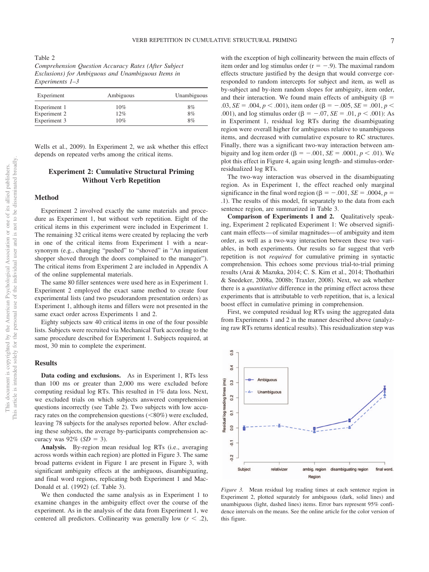Table 2 *Comprehension Question Accuracy Rates (After Subject Exclusions) for Ambiguous and Unambiguous Items in Experiments 1–3*

| Experiment   | Ambiguous | Unambiguous |
|--------------|-----------|-------------|
| Experiment 1 | 10%       | 8%          |
| Experiment 2 | 12%       | 8%          |
| Experiment 3 | 10%       | 8%          |

Wells et al., 2009). In Experiment 2, we ask whether this effect depends on repeated verbs among the critical items.

#### **Experiment 2: Cumulative Structural Priming Without Verb Repetition**

#### **Method**

Experiment 2 involved exactly the same materials and procedure as Experiment 1, but without verb repetition. Eight of the critical items in this experiment were included in Experiment 1. The remaining 32 critical items were created by replacing the verb in one of the critical items from Experiment 1 with a nearsynonym (e.g., changing "pushed" to "shoved" in "An impatient shopper shoved through the doors complained to the manager"). The critical items from Experiment 2 are included in Appendix A of the online supplemental materials.

The same 80 filler sentences were used here as in Experiment 1. Experiment 2 employed the exact same method to create four experimental lists (and two pseudorandom presentation orders) as Experiment 1, although items and fillers were not presented in the same exact order across Experiments 1 and 2.

Eighty subjects saw 40 critical items in one of the four possible lists. Subjects were recruited via Mechanical Turk according to the same procedure described for Experiment 1. Subjects required, at most, 30 min to complete the experiment.

#### **Results**

**Data coding and exclusions.** As in Experiment 1, RTs less than 100 ms or greater than 2,000 ms were excluded before computing residual log RTs. This resulted in 1% data loss. Next, we excluded trials on which subjects answered comprehension questions incorrectly (see Table 2). Two subjects with low accuracy rates on the comprehension questions  $(<80\%)$  were excluded, leaving 78 subjects for the analyses reported below. After excluding these subjects, the average by-participants comprehension accuracy was  $92\%$  (*SD* = 3).

**Analysis.** By-region mean residual log RTs (i.e., averaging across words within each region) are plotted in Figure 3. The same broad patterns evident in Figure 1 are present in Figure 3, with significant ambiguity effects at the ambiguous, disambiguating, and final word regions, replicating both Experiment 1 and Mac-Donald et al. (1992) (cf. Table 3).

We then conducted the same analysis as in Experiment 1 to examine changes in the ambiguity effect over the course of the experiment. As in the analysis of the data from Experiment 1, we centered all predictors. Collinearity was generally low  $(r < .2)$ ,

with the exception of high collinearity between the main effects of item order and log stimulus order  $(r = -.9)$ . The maximal random effects structure justified by the design that would converge corresponded to random intercepts for subject and item, as well as by-subject and by-item random slopes for ambiguity, item order, and their interaction. We found main effects of ambiguity ( $\beta$  = .03, *SE* = .004,  $p < .001$ ), item order ( $\beta = -.005$ , *SE* = .001,  $p <$ .001), and log stimulus order ( $\beta = -.07$ ,  $SE = .01$ ,  $p < .001$ ): As in Experiment 1, residual log RTs during the disambiguating region were overall higher for ambiguous relative to unambiguous items, and decreased with cumulative exposure to RC structures. Finally, there was a significant two-way interaction between ambiguity and log item order (β =  $-.001$ , *SE* = .0001, *p* < .01). We plot this effect in Figure 4, again using length- and stimulus-orderresidualized log RTs.

The two-way interaction was observed in the disambiguating region. As in Experiment 1, the effect reached only marginal significance in the final word region ( $\beta = -.001$ ,  $SE = .0004$ ,  $p =$ .1). The results of this model, fit separately to the data from each sentence region, are summarized in Table 3.

**Comparison of Experiments 1 and 2.** Qualitatively speaking, Experiment 2 replicated Experiment 1: We observed significant main effects— of similar magnitudes— of ambiguity and item order, as well as a two-way interaction between these two variables, in both experiments. Our results so far suggest that verb repetition is not *required* for cumulative priming in syntactic comprehension. This echoes some previous trial-to-trial priming results (Arai & Mazuka, 2014; C. S. Kim et al., 2014; Thothathiri & Snedeker, 2008a, 2008b; Traxler, 2008). Next, we ask whether there is a *quantitative* difference in the priming effect across these experiments that is attributable to verb repetition, that is, a lexical boost effect in cumulative priming in comprehension.

First, we computed residual log RTs using the aggregated data from Experiments 1 and 2 in the manner described above (analyzing raw RTs returns identical results). This residualization step was



*Figure 3.* Mean residual log reading times at each sentence region in Experiment 2, plotted separately for ambiguous (dark, solid lines) and unambiguous (light, dashed lines) items. Error bars represent 95% confidence intervals on the means. See the online article for the color version of this figure.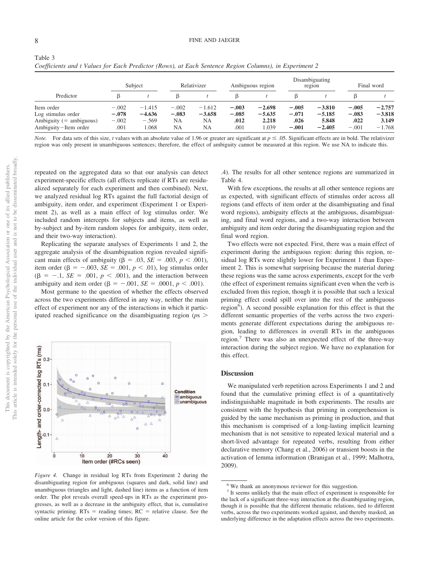This document is copyrighted by the American Psychological Association or one of its allied publishers. This article is intended solely for the personal use of the individual user and is not to be disseminated broadly.

This article is intended solely for the personal use of the individual user and is not to be disseminated broadly. This document is copyrighted by the American Psychological Association or one of its allied publishers.

Table 3

|                                                                                       |                                       | Subject                                  |                                 | Relativizer                             |                                    | Ambiguous region                       |                                       | Disambiguating<br>region                  |                                       | Final word                                |
|---------------------------------------------------------------------------------------|---------------------------------------|------------------------------------------|---------------------------------|-----------------------------------------|------------------------------------|----------------------------------------|---------------------------------------|-------------------------------------------|---------------------------------------|-------------------------------------------|
| Predictor                                                                             |                                       |                                          |                                 |                                         |                                    |                                        |                                       |                                           |                                       |                                           |
| Item order<br>Log stimulus order<br>Ambiguity $(=$ ambiguous)<br>Ambiguity-Item order | $-.002$<br>$-.078$<br>$-.002$<br>.001 | $-1.415$<br>$-4.636$<br>$-.569$<br>1.068 | $-.002$<br>$-.083$<br>NA<br>NA. | $-1.612$<br>$-3.658$<br>NA<br><b>NA</b> | $-.003$<br>$-.085$<br>.012<br>.001 | $-2.698$<br>$-5.635$<br>2.218<br>1.039 | $-.005$<br>$-.071$<br>.026<br>$-.001$ | $-3.810$<br>$-5.185$<br>5.848<br>$-2.405$ | $-.005$<br>$-.083$<br>.022<br>$-.001$ | $-2.757$<br>$-3.818$<br>3.149<br>$-1.768$ |

*Coefficients and t Values for Each Predictor (Rows), at Each Sentence Region Columns), in Experiment 2*

*Note.* For data sets of this size, *t* values with an absolute value of 1.96 or greater are significant at  $p \le 0.05$ . Significant effects are in bold. The relativizer region was only present in unambiguous sentences; therefore, the effect of ambiguity cannot be measured at this region. We use NA to indicate this.

repeated on the aggregated data so that our analysis can detect experiment-specific effects (all effects replicate if RTs are residualized separately for each experiment and then combined). Next, we analyzed residual log RTs against the full factorial design of ambiguity, item order, and experiment (Experiment 1 or Experiment 2), as well as a main effect of log stimulus order. We included random intercepts for subjects and items, as well as by-subject and by-item random slopes for ambiguity, item order, and their two-way interaction).

Replicating the separate analyses of Experiments 1 and 2, the aggregate analysis of the disambiguation region revealed significant main effects of ambiguity ( $\beta = .03$ ,  $SE = .003$ ,  $p < .001$ ), item order ( $\beta = -.003$ ,  $SE = .001$ ,  $p < .01$ ), log stimulus order  $(\beta = -1, \, SE = .001, \, p < .001)$ , and the interaction between ambiguity and item order ( $\beta = -.001$ ,  $SE = .0001$ ,  $p < .001$ ).

Most germane to the question of whether the effects observed across the two experiments differed in any way, neither the main effect of experiment nor any of the interactions in which it participated reached significance on the disambiguating region (*p*s



*Figure 4.* Change in residual log RTs from Experiment 2 during the disambiguating region for ambiguous (squares and dark, solid line) and unambiguous (triangles and light, dashed line) items as a function of item order. The plot reveals overall speed-ups in RTs as the experiment progresses, as well as a decrease in the ambiguity effect, that is, cumulative syntactic priming.  $RTs$  = reading times;  $RC$  = relative clause. See the online article for the color version of this figure.

.4). The results for all other sentence regions are summarized in Table 4.

With few exceptions, the results at all other sentence regions are as expected, with significant effects of stimulus order across all regions (and effects of item order at the disambiguating and final word regions), ambiguity effects at the ambiguous, disambiguating, and final word regions, and a two-way interaction between ambiguity and item order during the disambiguating region and the final word region.

Two effects were not expected. First, there was a main effect of experiment during the ambiguous region: during this region, residual log RTs were slightly lower for Experiment 1 than Experiment 2. This is somewhat surprising because the material during these regions was the same across experiments, except for the verb (the effect of experiment remains significant even when the verb is excluded from this region, though it is possible that such a lexical priming effect could spill over into the rest of the ambiguous region<sup>6</sup>). A second possible explanation for this effect is that the different semantic properties of the verbs across the two experiments generate different expectations during the ambiguous region, leading to differences in overall RTs in the ambiguous region.<sup>7</sup> There was also an unexpected effect of the three-way interaction during the subject region. We have no explanation for this effect.

#### **Discussion**

We manipulated verb repetition across Experiments 1 and 2 and found that the cumulative priming effect is of a quantitatively indistinguishable magnitude in both experiments. The results are consistent with the hypothesis that priming in comprehension is guided by the same mechanism as priming in production, and that this mechanism is comprised of a long-lasting implicit learning mechanism that is not sensitive to repeated lexical material and a short-lived advantage for repeated verbs, resulting from either declarative memory (Chang et al., 2006) or transient boosts in the activation of lemma information (Branigan et al., 1999; Malhotra, 2009).

<sup>&</sup>lt;sup>6</sup> We thank an anonymous reviewer for this suggestion.

<sup>&</sup>lt;sup>7</sup> It seems unlikely that the main effect of experiment is responsible for the lack of a significant three-way interaction at the disambiguating region, though it is possible that the different thematic relations, tied to different verbs, across the two experiments worked against, and thereby masked, an underlying difference in the adaptation effects across the two experiments.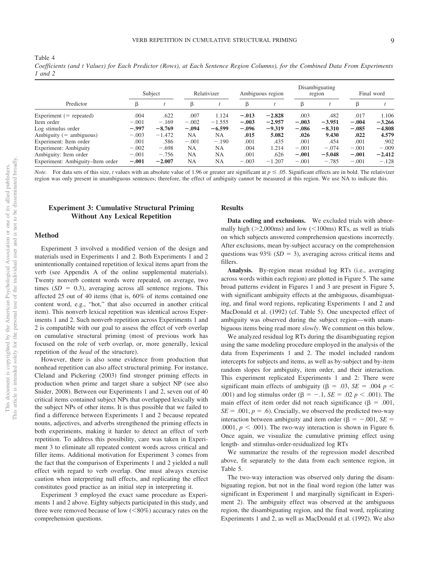Table 4 *Coefficients (and t Values) for Each Predictor (Rows), at Each Sentence Region Columns), for the Combined Data From Experiments 1 and 2*

|                                  | Subject |          | Relativizer |           | Ambiguous region |          | Disambiguating<br>region |          | Final word |          |
|----------------------------------|---------|----------|-------------|-----------|------------------|----------|--------------------------|----------|------------|----------|
| Predictor                        | β       |          | β           |           | β                |          | β                        |          |            |          |
| Experiment $(=$ repeated)        | .004    | .622     | .007        | 1.124     | $-.013$          | $-2.828$ | .003                     | .482     | .017       | 1.106    |
| Item order                       | $-.001$ | $-.169$  | $-.002$     | $-1.555$  | $-.003$          | $-2.957$ | $-.003$                  | $-3.951$ | $-.004$    | $-3.266$ |
| Log stimulus order               | $-.997$ | $-8.769$ | $-.094$     | $-6.599$  | $-.096$          | $-9.319$ | $-.086$                  | $-8.310$ | $-.085$    | $-4.808$ |
| Ambiguity $(=$ ambiguous)        | $-.003$ | $-1.472$ | <b>NA</b>   | NA        | .015             | 5.082    | .026                     | 9.430    | .022       | 4.579    |
| Experiment: Item order           | .001    | .586     | $-.001$     | $-.190$   | .001             | .435     | .001                     | .454     | .001       | .902     |
| Experiment: Ambiguity            | $-.002$ | $-.698$  | <b>NA</b>   | NA        | .004             | 1.214    | $-.001$                  | $-.074$  | $-.001$    | $-.009$  |
| Ambiguity: Item order            | $-.001$ | $-.756$  | <b>NA</b>   | NA        | .001             | .626     | $-.001$                  | $-5.048$ | $-.001$    | $-2.412$ |
| Experiment: Ambiguity–Item order | $-.001$ | $-2.007$ | <b>NA</b>   | <b>NA</b> | $-.003$          | $-1.207$ | $-.001$                  | $-.785$  | $-.001$    | $-.128$  |

*Note.* For data sets of this size, *t* values with an absolute value of 1.96 or greater are significant at  $p \le 0.05$ . Significant effects are in bold. The relativizer region was only present in unambiguous sentences; therefore, the effect of ambiguity cannot be measured at this region. We use NA to indicate this.

#### **Experiment 3: Cumulative Structural Priming Without Any Lexical Repetition**

#### **Method**

Experiment 3 involved a modified version of the design and materials used in Experiments 1 and 2. Both Experiments 1 and 2 unintentionally contained repetition of lexical items apart from the verb (see Appendix A of the online supplemental materials). Twenty nonverb content words were repeated, on average, two times  $(SD = 0.3)$ , averaging across all sentence regions. This affected 25 out of 40 items (that is, 60% of items contained one content word, e.g., "hot," that also occurred in another critical item). This nonverb lexical repetition was identical across Experiments 1 and 2. Such nonverb repetition across Experiments 1 and 2 is compatible with our goal to assess the effect of verb overlap on cumulative structural priming (most of previous work has focused on the role of verb overlap, or, more generally, lexical repetition of the *head* of the structure).

However, there is also some evidence from production that nonhead repetition can also affect structural priming. For instance, Cleland and Pickering (2003) find stronger priming effects in production when prime and target share a subject NP (see also Snider, 2008). Between our Experiments 1 and 2, seven out of 40 critical items contained subject NPs that overlapped lexically with the subject NPs of other items. It is thus possible that we failed to find a difference between Experiments 1 and 2 because repeated nouns, adjectives, and adverbs strengthened the priming effects in both experiments, making it harder to detect an effect of verb repetition. To address this possibility, care was taken in Experiment 3 to eliminate all repeated content words across critical and filler items. Additional motivation for Experiment 3 comes from the fact that the comparison of Experiments 1 and 2 yielded a null effect with regard to verb overlap. One must always exercise caution when interpreting null effects, and replicating the effect constitutes good practice as an initial step in interpreting it.

Experiment 3 employed the exact same procedure as Experiments 1 and 2 above. Eighty subjects participated in this study, and three were removed because of low  $(< 80\%)$  accuracy rates on the comprehension questions.

#### **Results**

**Data coding and exclusions.** We excluded trials with abnormally high ( $>2,000$ ms) and low ( $<100$ ms) RTs, as well as trials on which subjects answered comprehension questions incorrectly. After exclusions, mean by-subject accuracy on the comprehension questions was  $93\%$  (*SD* = 3), averaging across critical items and fillers.

**Analysis.** By-region mean residual log RTs (i.e., averaging across words within each region) are plotted in Figure 5. The same broad patterns evident in Figures 1 and 3 are present in Figure 5, with significant ambiguity effects at the ambiguous, disambiguating, and final word regions, replicating Experiments 1 and 2 and MacDonald et al. (1992) (cf. Table 5). One unexpected effect of ambiguity was observed during the subject region—with unambiguous items being read more *slowly*. We comment on this below.

We analyzed residual log RTs during the disambiguating region using the same modeling procedure employed in the analysis of the data from Experiments 1 and 2. The model included random intercepts for subjects and items, as well as by-subject and by-item random slopes for ambiguity, item order, and their interaction. This experiment replicated Experiments 1 and 2: There were significant main effects of ambiguity ( $\beta$  = .03, *SE* = .004 *p* < .001) and log stimulus order ( $\beta = -.1$ ,  $SE = .02$   $p < .001$ ). The main effect of item order did not reach significance ( $\beta = .001$ ,  $SE = .001$ ,  $p = .6$ ). Crucially, we observed the predicted two-way interaction between ambiguity and item order ( $\beta = -.001$ , *SE* = .0001,  $p < .001$ ). The two-way interaction is shown in Figure 6. Once again, we visualize the cumulative priming effect using length- and stimulus-order-residualized log RTs

We summarize the results of the regression model described above, fit separately to the data from each sentence region, in Table 5.

The two-way interaction was observed only during the disambiguating region, but not in the final word region (the latter was significant in Experiment 1 and marginally significant in Experiment 2). The ambiguity effect was observed at the ambiguous region, the disambiguating region, and the final word, replicating Experiments 1 and 2, as well as MacDonald et al. (1992). We also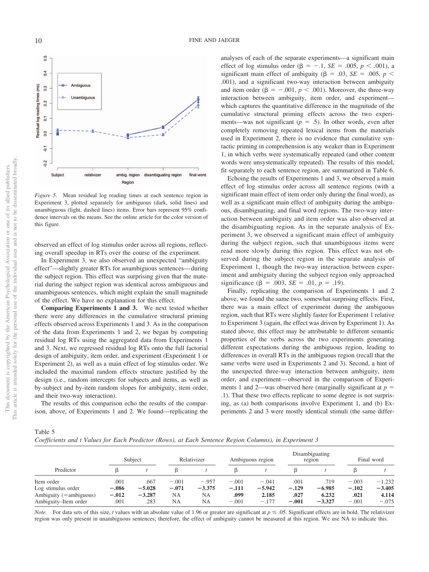

*Figure 5.* Mean residual log reading times at each sentence region in Experiment 3, plotted separately for ambiguous (dark, solid lines) and unambiguous (light, dashed lines) items. Error bars represent 95% confidence intervals on the means. See the online article for the color version of this figure.

observed an effect of log stimulus order across all regions, reflecting overall speedup in RTs over the course of the experiment.

In Experiment 3, we also observed an unexpected "ambiguity effect"—slightly greater RTs for *un*ambiguous sentences— during the subject region. This effect was surprising given that the material during the subject region was identical across ambiguous and unambiguous sentences, which might explain the small magnitude of the effect. We have no explanation for this effect.

**Comparing Experiments 1 and 3.** We next tested whether there were any differences in the cumulative structural priming effects observed across Experiments 1 and 3. As in the comparison of the data from Experiments 1 and 2, we began by computing residual log RTs using the aggregated data from Experiments 1 and 3. Next, we regressed residual log RTs onto the full factorial design of ambiguity, item order, and experiment (Experiment 1 or Experiment 2), as well as a main effect of log stimulus order. We included the maximal random effects structure justified by the design (i.e., random intercepts for subjects and items, as well as by-subject and by-item random slopes for ambiguity, item order, and their two-way interaction).

The results of this comparison echo the results of the comparison, above, of Experiments 1 and 2. We found—replicating the

analyses of each of the separate experiments—a significant main effect of log stimulus order ( $\beta = -.1$ ,  $SE = .005$ ,  $p < .001$ ), a significant main effect of ambiguity ( $\beta$  = .03, *SE* = .005, *p* < .001), and a significant two-way interaction between ambiguity and item order  $(\beta = -.001, p < .001)$ . Moreover, the three-way interaction between ambiguity, item order, and experiment which captures the quantitative difference in the magnitude of the cumulative structural priming effects across the two experiments—was not significant  $(p = .5)$ . In other words, even after completely removing repeated lexical items from the materials used in Experiment 2, there is no evidence that cumulative syntactic priming in comprehension is any weaker than in Experiment 1, in which verbs were systematically repeated (and other content words were unsystematically repeated). The results of this model, fit separately to each sentence region, are summarized in Table 6.

Echoing the results of Experiments 1 and 3, we observed a main effect of log stimulus order across all sentence regions (with a significant main effect of item order only during the final word), as well as a significant main effect of ambiguity during the ambiguous, disambiguating, and final word regions. The two-way interaction between ambiguity and item order was also observed at the disambiguating region. As in the separate analysis of Experiment 3, we observed a significant main effect of ambiguity during the subject region, such that unambiguous items were read more slowly during this region. This effect was not observed during the subject region in the separate analysis of Experiment 1, though the two-way interaction between experiment and ambiguity during the subject region only approached significance ( $\beta = .003$ ,  $SE = .01$ ,  $p = .19$ ).

Finally, replicating the comparison of Experiments 1 and 2 above, we found the same two, somewhat surprising effects. First, there was a main effect of experiment during the ambiguous region, such that RTs were slightly faster for Experiment 1 relative to Experiment 3 (again, the effect was driven by Experiment 1). As stated above, this effect may be attributable to different semantic properties of the verbs across the two experiments generating different expectations during the ambiguous region, leading to differences in overall RTs in the ambiguous region (recall that the same verbs were used in Experiments 2 and 3). Second, a hint of the unexpected three-way interaction between ambiguity, item order, and experiment— observed in the comparison of Experiments 1 and 2—was observed here (marginally significant at  $p =$ .1). That these two effects replicate to some degree is not surprising, as (a) both comparisons involve Experiment 1, and (b) Experiments 2 and 3 were mostly identical stimuli (the same differ-

Table 5

*Coefficients and t Values for Each Predictor (Rows), at Each Sentence Region Columns), in Experiment 3*

|                                                                                             |                                    | Subject                              | Relativizer                           |                                               | Ambiguous region                      |                                         | Disambiguating<br>region           |                                       | Final word                            |                                          |
|---------------------------------------------------------------------------------------------|------------------------------------|--------------------------------------|---------------------------------------|-----------------------------------------------|---------------------------------------|-----------------------------------------|------------------------------------|---------------------------------------|---------------------------------------|------------------------------------------|
| Predictor                                                                                   |                                    |                                      |                                       |                                               |                                       |                                         |                                    |                                       |                                       |                                          |
| Item order<br>Log stimulus order<br>Ambiguity $(=\text{ambiguous})$<br>Ambiguity–Item order | .001<br>$-.086$<br>$-.012$<br>.001 | .667<br>$-5.028$<br>$-3.287$<br>.283 | $-.001$<br>$-.071$<br>NΑ<br><b>NA</b> | $-.957$<br>$-3.375$<br><b>NA</b><br><b>NA</b> | $-.001$<br>$-.111$<br>.099<br>$-.001$ | $-.041$<br>$-5.942$<br>2.185<br>$-.177$ | .001<br>$-.129$<br>.027<br>$-.001$ | .719<br>$-6.985$<br>6.232<br>$-3.327$ | $-.003$<br>$-.102$<br>.021<br>$-.001$ | $-1.232$<br>$-3.405$<br>4.114<br>$-.075$ |

*Note.* For data sets of this size, *t* values with an absolute value of 1.96 or greater are significant at  $p \le 0.05$ . Significant effects are in bold. The relativizer region was only present in unambiguous sentences; therefore, the effect of ambiguity cannot be measured at this region. We use NA to indicate this.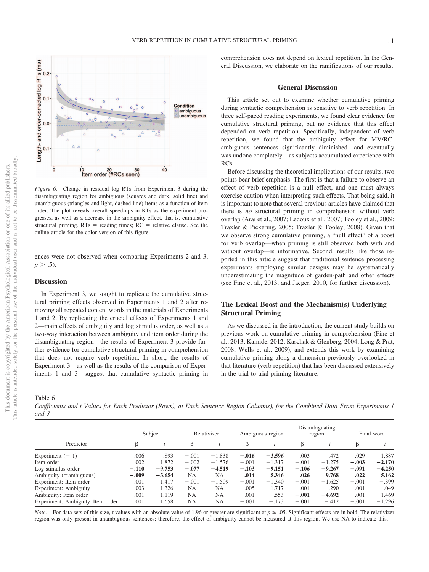

*Figure 6.* Change in residual log RTs from Experiment 3 during the disambiguating region for ambiguous (squares and dark, solid line) and unambiguous (triangles and light, dashed line) items as a function of item order. The plot reveals overall speed-ups in RTs as the experiment progresses, as well as a decrease in the ambiguity effect, that is, cumulative structural priming.  $RTs$  = reading times;  $RC$  = relative clause. See the online article for the color version of this figure.

ences were not observed when comparing Experiments 2 and 3,  $p > .5$ ).

#### **Discussion**

In Experiment 3, we sought to replicate the cumulative structural priming effects observed in Experiments 1 and 2 after removing all repeated content words in the materials of Experiments 1 and 2. By replicating the crucial effects of Experiments 1 and 2—main effects of ambiguity and log stimulus order, as well as a two-way interaction between ambiguity and item order during the disambiguating region—the results of Experiment 3 provide further evidence for cumulative structural priming in comprehension that does not require verb repetition. In short, the results of Experiment 3—as well as the results of the comparison of Experiments 1 and 3—suggest that cumulative syntactic priming in

comprehension does not depend on lexical repetition. In the General Discussion, we elaborate on the ramifications of our results.

#### **General Discussion**

This article set out to examine whether cumulative priming during syntactic comprehension is sensitive to verb repetition. In three self-paced reading experiments, we found clear evidence for cumulative structural priming, but no evidence that this effect depended on verb repetition. Specifically, independent of verb repetition, we found that the ambiguity effect for MV/RCambiguous sentences significantly diminished—and eventually was undone completely—as subjects accumulated experience with RCs.

Before discussing the theoretical implications of our results, two points bear brief emphasis. The first is that a failure to observe an effect of verb repetition is a null effect, and one must always exercise caution when interpreting such effects. That being said, it is important to note that several previous articles have claimed that there is *no* structural priming in comprehension without verb overlap (Arai et al., 2007; Ledoux et al., 2007; Tooley et al., 2009; Traxler & Pickering, 2005; Traxler & Tooley, 2008). Given that we observe strong cumulative priming, a "null effect" of a boost for verb overlap—when priming is still observed both with and without overlap—is informative. Second, results like those reported in this article suggest that traditional sentence processing experiments employing similar designs may be systematically underestimating the magnitude of garden-path and other effects (see Fine et al., 2013, and Jaeger, 2010, for further discussion).

#### **The Lexical Boost and the Mechanism(s) Underlying Structural Priming**

As we discussed in the introduction, the current study builds on previous work on cumulative priming in comprehension (Fine et al., 2013; Kamide, 2012; Kaschak & Glenberg, 2004; Long & Prat, 2008; Wells et al., 2009), and extends this work by examining cumulative priming along a dimension previously overlooked in that literature (verb repetition) that has been discussed extensively in the trial-to-trial priming literature.

Table 6

*Coefficients and t Values for Each Predictor (Rows), at Each Sentence Region Columns), for the Combined Data From Experiments 1 and 3*

|                                  | Subject |          | Relativizer |           | Ambiguous region |          | Disambiguating<br>region |          | Final word |          |
|----------------------------------|---------|----------|-------------|-----------|------------------|----------|--------------------------|----------|------------|----------|
| Predictor                        |         |          | β           |           | β                |          | ß                        |          | ß          |          |
| Experiment $(= 1)$               | .006    | .893     | $-.001$     | $-1.838$  | $-.016$          | $-3.596$ | .003                     | .472     | .029       | 1.887    |
| Item order                       | .002    | 1.872    | $-.002$     | $-1.576$  | $-.001$          | $-1.317$ | $-.001$                  | $-1.275$ | $-.003$    | $-2.170$ |
| Log stimulus order               | $-.110$ | $-9.753$ | $-.077$     | $-4.519$  | $-.103$          | $-9.151$ | $-.106$                  | $-9.267$ | $-.091$    | $-4.250$ |
| Ambiguity (=ambiguous)           | $-.009$ | $-3.654$ | NA          | <b>NA</b> | .014             | 5.346    | .026                     | 9.768    | .022       | 5.162    |
| Experiment: Item order           | .001    | 1.417    | $-.001$     | $-1.509$  | $-.001$          | $-1.340$ | $-.001$                  | $-1.625$ | $-.001$    | $-.399$  |
| Experiment: Ambiguity            | $-.003$ | $-1.326$ | NA          | <b>NA</b> | .005             | 1.717    | $-.001$                  | $-.290$  | $-.001$    | $-.049$  |
| Ambiguity: Item order            | $-.001$ | $-1.119$ | <b>NA</b>   | NA        | $-.001$          | $-.553$  | $-.001$                  | $-4.692$ | $-.001$    | $-1.469$ |
| Experiment: Ambiguity–Item order | .001    | 1.658    | <b>NA</b>   | <b>NA</b> | $-.001$          | $-.173$  | $-.001$                  | $-.412$  | $-.001$    | $-1.296$ |

*Note.* For data sets of this size, *t* values with an absolute value of 1.96 or greater are significant at  $p \le 0.05$ . Significant effects are in bold. The relativizer region was only present in unambiguous sentences; therefore, the effect of ambiguity cannot be measured at this region. We use NA to indicate this.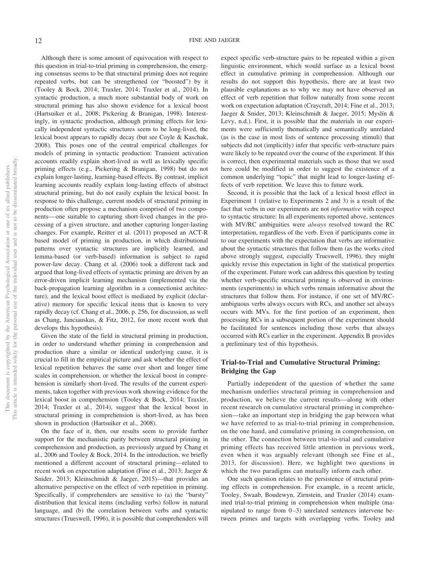Although there is some amount of equivocation with respect to this question in trial-to-trial priming in comprehension, the emerging consensus seems to be that structural priming does not require repeated verbs, but can be strengthened (or "boosted") by it (Tooley & Bock, 2014; Traxler, 2014; Traxler et al., 2014). In syntactic production, a much more substantial body of work on structural priming has also shown evidence for a lexical boost (Hartsuiker et al., 2008; Pickering & Branigan, 1998). Interestingly, in syntactic production, although priming effects for lexically independent syntactic structures seem to be long-lived, the lexical boost appears to rapidly decay (but see Coyle & Kaschak, 2008). This poses one of the central empirical challenges for models of priming in syntactic production: Transient activation accounts readily explain short-lived as well as lexically specific priming effects (e.g., Pickering & Branigan, 1998) but do not explain longer-lasting, learning-based effects. By contrast, implicit learning accounts readily explain long-lasting effects of abstract structural priming, but do not easily explain the lexical boost. In response to this challenge, current models of structural priming in production often propose a mechanism comprised of two components— one suitable to capturing short-lived changes in the processing of a given structure, and another capturing longer-lasting changes. For example, Reitter et al. (2011) proposed an ACT-R based model of priming in production, in which distributional patterns over syntactic structures are implicitly learned, and lemma-based (or verb-based) information is subject to rapid power-law decay. Chang et al. (2006) took a different tack and argued that long-lived effects of syntactic priming are driven by an error-driven implicit learning mechanism (implemented via the back-propagation learning algorithm in a connectionist architecture), and the lexical boost effect is mediated by explicit (declarative) memory for specific lexical items that is known to very rapidly decay (cf. Chang et al., 2006, p. 256, for discussion, as well as Chang, Janciauskas, & Fitz, 2012, for more recent work that develops this hypothesis).

Given the state of the field in structural priming in production, in order to understand whether priming in comprehension and production share a similar or identical underlying cause, it is crucial to fill in the empirical picture and ask whether the effect of lexical repetition behaves the same over short and longer time scales in comprehension, or whether the lexical boost in comprehension is similarly short-lived. The results of the current experiments, taken together with previous work showing evidence for the lexical boost in comprehension (Tooley & Bock, 2014; Traxler, 2014; Traxler et al., 2014), suggest that the lexical boost in structural priming in comprehension is short-lived, as has been shown in production (Hartsuiker et al., 2008).

On the face of it, then, our results seem to provide further support for the mechanistic parity between structural priming in comprehension and production, as previously argued by Chang et al., 2006 and Tooley & Bock, 2014. In the introduction, we briefly mentioned a different account of structural priming—related to recent work on expectation adaptation (Fine et al., 2013; Jaeger & Snider, 2013; Kleinschmidt & Jaeger, 2015)—that provides an alternative perspective on the effect of verb repetition in priming. Specifically, if comprehenders are sensitive to (a) the "bursty" distribution that lexical items (including verbs) follow in natural language, and (b) the correlation between verbs and syntactic structures (Trueswell, 1996), it is possible that comprehenders will

expect specific verb-structure pairs to be repeated within a given linguistic environment, which would surface as a lexical boost effect in cumulative priming in comprehension. Although our results do not support this hypothesis, there are at least two plausible explanations as to why we may not have observed an effect of verb repetition that follow naturally from some recent work on expectation adaptation (Craycraft, 2014; Fine et al., 2013; Jaeger & Snider, 2013; Kleinschmidt & Jaeger, 2015; Myslín & Levy, n.d.). First, it is possible that the materials in our experiments were sufficiently thematically and semantically unrelated (as is the case in most lists of sentence processing stimuli) that subjects did not (implicitly) infer that specific verb-structure pairs were likely to be repeated over the course of the experiment. If this is correct, then experimental materials such as those that we used here could be modified in order to suggest the existence of a common underlying "topic" that might lead to longer-lasting effects of verb repetition. We leave this to future work.

Second, it is possible that the lack of a lexical boost effect in Experiment 1 (relative to Experiments 2 and 3) is a result of the fact that verbs in our experiments are not *informative* with respect to syntactic structure: In all experiments reported above, sentences with MV/RC ambiguities were *always* resolved toward the RC interpretation, regardless of the verb. Even if participants come in to our experiments with the expectation that verbs are informative about the syntactic structures that follow them (as the works cited above strongly suggest, especially Trueswell, 1996), they might quickly revise this expectation in light of the statistical properties of the experiment. Future work can address this question by testing whether verb-specific structural priming is observed in environments (experiments) in which verbs remain informative about the structures that follow them. For instance, if one set of MV/RCambiguous verbs always occurs with RCs, and another set always occurs with MVs. for the first portion of an experiment, then processing RCs in a subsequent portion of the experiment should be facilitated for sentences including those verbs that always occurred with RCs earlier in the experiment. Appendix B provides a preliminary test of this hypothesis.

#### **Trial-to-Trial and Cumulative Structural Priming: Bridging the Gap**

Partially independent of the question of whether the same mechanism underlies structural priming in comprehension and production, we believe the current results—along with other recent research on cumulative structural priming in comprehension—take an important step in bridging the gap between what we have referred to as trial-to-trial priming in comprehension, on the one hand, and cumulative priming in comprehension, on the other. The connection between trial-to-trial and cumulative priming effects has received little attention in previous work, even when it was arguably relevant (though see Fine et al., 2013, for discussion). Here, we highlight two questions in which the two paradigms can mutually inform each other.

One such question relates to the persistence of structural priming effects in comprehension. For example, in a recent article, Tooley, Swaab, Boudewyn, Zirnstein, and Traxler (2014) examined trial-to-trial priming in comprehension when multiple (manipulated to range from  $0-3$ ) unrelated sentences intervene between primes and targets with overlapping verbs. Tooley and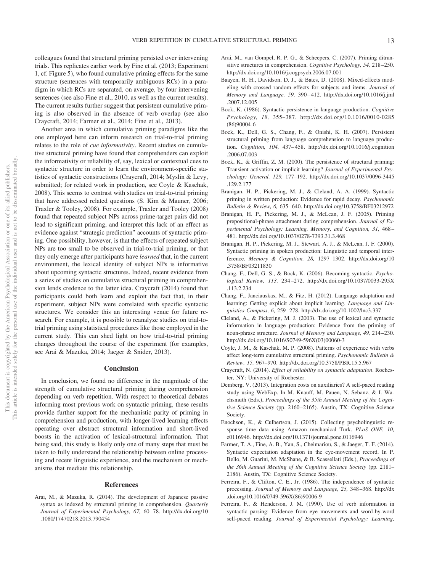colleagues found that structural priming persisted over intervening trials. This replicates earlier work by Fine et al. (2013; Experiment 1, cf. Figure 5), who found cumulative priming effects for the same structure (sentences with temporarily ambiguous RCs) in a paradigm in which RCs are separated, on average, by four intervening sentences (see also Fine et al., 2010, as well as the current results). The current results further suggest that persistent cumulative priming is also observed in the absence of verb overlap (see also Craycraft, 2014; Farmer et al., 2014; Fine et al., 2013).

Another area in which cumulative priming paradigms like the one employed here can inform research on trial-to-trial priming relates to the role of *cue informativity*. Recent studies on cumulative structural priming have found that comprehenders can exploit the informativity or reliability of, say, lexical or contextual cues to syntactic structure in order to learn the environment-specific statistics of syntactic constructions (Craycraft, 2014; Myslin & Levy, submitted; for related work in production, see Coyle & Kaschak, 2008). This seems to contrast with studies on trial-to-trial priming that have addressed related questions (S. Kim & Mauner, 2006; Traxler & Tooley, 2008). For example, Traxler and Tooley (2008) found that repeated subject NPs across prime-target pairs did not lead to significant priming, and interpret this lack of an effect as evidence against "strategic prediction" accounts of syntactic priming. One possibility, however, is that the effects of repeated subject NPs are too small to be observed in trial-to-trial priming, or that they only emerge after participants have *learned* that, in the current environment, the lexical identity of subject NPs is informative about upcoming syntactic structures. Indeed, recent evidence from a series of studies on cumulative structural priming in comprehension lends credence to the latter idea. Craycraft (2014) found that participants could both learn and exploit the fact that, in their experiment, subject NPs were correlated with specific syntactic structures. We consider this an interesting venue for future research. For example, it is possible to reanalyze studies on trial-totrial priming using statistical procedures like those employed in the current study. This can shed light on how trial-to-trial priming changes throughout the course of the experiment (for examples, see Arai & Mazuka, 2014; Jaeger & Snider, 2013).

#### **Conclusion**

In conclusion, we found no difference in the magnitude of the strength of cumulative structural priming during comprehension depending on verb repetition. With respect to theoretical debates informing most previous work on syntactic priming, these results provide further support for the mechanistic parity of priming in comprehension and production, with longer-lived learning effects operating over abstract structural information and short-lived boosts in the activation of lexical-structural information. That being said, this study is likely only one of many steps that must be taken to fully understand the relationship between online processing and recent linguistic experience, and the mechanism or mechanisms that mediate this relationship.

#### **References**

Arai, M., & Mazuka, R. (2014). The development of Japanese passive syntax as indexed by structural priming in comprehension. *Quarterly Journal of Experimental Psychology, 67,* 60 –78. http://dx.doi.org/10 .1080/17470218.2013.790454

- Arai, M., van Gompel, R. P. G., & Scheepers, C. (2007). Priming ditransitive structures in comprehension. *Cognitive Psychology, 54,* 218 –250. http://dx.doi.org/10.1016/j.cogpsych.2006.07.001
- Baayen, R. H., Davidson, D. J., & Bates, D. (2008). Mixed-effects modeling with crossed random effects for subjects and items. *Journal of Memory and Language, 59,* 390 – 412. http://dx.doi.org/10.1016/j.jml .2007.12.005
- Bock, K. (1986). Syntactic persistence in language production. *Cognitive Psychology, 18,* 355–387. http://dx.doi.org/10.1016/0010-0285 (86)90004-6
- Bock, K., Dell, G. S., Chang, F., & Onishi, K. H. (2007). Persistent structural priming from language comprehension to language production. *Cognition, 104,* 437– 458. http://dx.doi.org/10.1016/j.cognition .2006.07.003
- Bock, K., & Griffin, Z. M. (2000). The persistence of structural priming: Transient activation or implicit learning? *Journal of Experimental Psychology: General, 129,* 177–192. http://dx.doi.org/10.1037/0096-3445 .129.2.177
- Branigan, H. P., Pickering, M. J., & Cleland, A. A. (1999). Syntactic priming in written production: Evidence for rapid decay. *Psychonomic Bulletin & Review, 6,* 635– 640. http://dx.doi.org/10.3758/BF03212972
- Branigan, H. P., Pickering, M. J., & McLean, J. F. (2005). Priming prepositional-phrase attachment during comprehension. *Journal of Experimental Psychology: Learning, Memory, and Cognition, 31,* 468 – 481. http://dx.doi.org/10.1037/0278-7393.31.3.468
- Branigan, H. P., Pickering, M. J., Stewart, A. J., & McLean, J. F. (2000). Syntactic priming in spoken production: Linguistic and temporal interference. *Memory & Cognition, 28,* 1297–1302. http://dx.doi.org/10 .3758/BF03211830
- Chang, F., Dell, G. S., & Bock, K. (2006). Becoming syntactic. *Psychological Review, 113,* 234 –272. http://dx.doi.org/10.1037/0033-295X .113.2.234
- Chang, F., Janciauskas, M., & Fitz, H. (2012). Language adaptation and learning: Getting explicit about implicit learning. *Language and Linguistics Compass, 6,* 259 –278. http://dx.doi.org/10.1002/lnc3.337
- Cleland, A., & Pickering, M. J. (2003). The use of lexical and syntactic information in language production: Evidence from the priming of noun-phrase structure. *Journal of Memory and Language, 49,* 214 –230. http://dx.doi.org/10.1016/S0749-596X(03)00060-3
- Coyle, J. M., & Kaschak, M. P. (2008). Patterns of experience with verbs affect long-term cumulative structural priming. *Psychonomic Bulletin & Review, 15,* 967–970. http://dx.doi.org/10.3758/PBR.15.5.967
- Craycraft, N. (2014). *Effect of reliability on syntactic adaptation*. Rochester, NY: University of Rochester.
- Demberg, V. (2013). Integration costs on auxiliaries? A self-paced reading study using WebExp. In M. Knauff, M. Pauen, N. Sebanz, & I. Wachsmuth (Eds.), *Proceedings of the 35th Annual Meeting of the Cognitive Science Society* (pp. 2160 –2165). Austin, TX: Cognitive Science Society.
- Enochson, K., & Culbertson, J. (2015). Collecting psycholinguistic response time data using Amazon mechanical Turk. *PLoS ONE, 10,* e0116946. http://dx.doi.org/10.1371/journal.pone.0116946
- Farmer, T. A., Fine, A. B., Yan, S., Cheimariou, S., & Jaeger, T. F. (2014). Syntactic expectation adaptation in the eye-movement record. In P. Bello, M. Guarini, M. McShane, & B. Scassellati (Eds.), *Proceedings of the 36th Annual Meeting of the Cognitive Science Society* (pp. 2181– 2186). Austin, TX: Cognitive Science Society.
- Ferreira, F., & Clifton, C. E., Jr. (1986). The independence of syntactic processing. *Journal of Memory and Language, 25,* 348 –368. http://dx .doi.org/10.1016/0749-596X(86)90006-9
- Ferreira, F., & Henderson, J. M. (1990). Use of verb information in syntactic parsing: Evidence from eye movements and word-by-word self-paced reading. *Journal of Experimental Psychology: Learning,*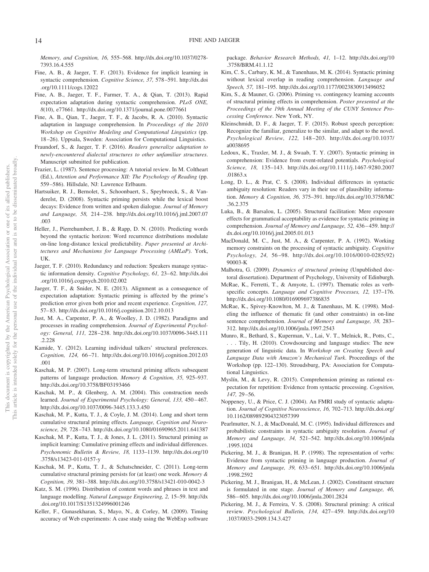*Memory, and Cognition, 16,* 555–568. http://dx.doi.org/10.1037/0278- 7393.16.4.555

- Fine, A. B., & Jaeger, T. F. (2013). Evidence for implicit learning in syntactic comprehension. *Cognitive Science, 37,* 578 –591. http://dx.doi .org/10.1111/cogs.12022
- Fine, A. B., Jaeger, T. F., Farmer, T. A., & Qian, T. (2013). Rapid expectation adaptation during syntactic comprehension. *PLoS ONE, 8*(10), e77661. http://dx.doi.org/10.1371/journal.pone.0077661
- Fine, A. B., Qian, T., Jaeger, T. F., & Jacobs, R. A. (2010). Syntactic adaptation in language comprehension. In *Proceedings of the 2010 Workshop on Cognitive Modeling and Computational Linguistics* (pp. 18 –26). Uppsala, Sweden: Association for Computational Linguistics.
- Fraundorf, S., & Jaeger, T. F. (2016). *Readers generalize adaptation to newly-encountered dialectal structures to other unfamiliar structures*. Manuscript submitted for publication.
- Frazier, L. (1987). Sentence processing: A tutorial review. In M. Coltheart (Ed.), *Attention and Performance XII: The Psychology of Reading* (pp. 559 –586). Hillsdale, NJ: Lawrence Erlbaum.
- Hartsuiker, R. J., Bernolet, S., Schoonbaert, S., Speybroeck, S., & Vanderelst, D. (2008). Syntactic priming persists while the lexical boost decays: Evidence from written and spoken dialogue. *Journal of Memory and Language, 58,* 214 –238. http://dx.doi.org/10.1016/j.jml.2007.07 .003
- Heller, J., Pierrehumbert, J. B., & Rapp, D. N. (2010). Predicting words beyond the syntactic horizon: Word recurrence distributions modulate on-line long-distance lexical predictability. *Paper presented at Architectures and Mechanisms for Language Processing (AMLaP)*. York, UK.
- Jaeger, T. F. (2010). Redundancy and reduction: Speakers manage syntactic information density. *Cognitive Psychology, 61, 23*-62. http://dx.doi .org/10.1016/j.cogpsych.2010.02.002
- Jaeger, T. F., & Snider, N. E. (2013). Alignment as a consequence of expectation adaptation: Syntactic priming is affected by the prime's prediction error given both prior and recent experience. *Cognition, 127,* 57– 83. http://dx.doi.org/10.1016/j.cognition.2012.10.013
- Just, M. A., Carpenter, P. A., & Woolley, J. D. (1982). Paradigms and processes in reading comprehension. *Journal of Experimental Psychology: General, 111,* 228 –238. http://dx.doi.org/10.1037/0096-3445.111 .2.228
- Kamide, Y. (2012). Learning individual talkers' structural preferences. *Cognition, 124,* 66 –71. http://dx.doi.org/10.1016/j.cognition.2012.03 .001
- Kaschak, M. P. (2007). Long-term structural priming affects subsequent patterns of language production. *Memory & Cognition, 35,* 925–937. http://dx.doi.org/10.3758/BF03193466
- Kaschak, M. P., & Glenberg, A. M. (2004). This construction needs learned. *Journal of Experimental Psychology: General, 133, 450-467.* http://dx.doi.org/10.1037/0096-3445.133.3.450
- Kaschak, M. P., Kutta, T. J., & Coyle, J. M. (2014). Long and short term cumulative structural priming effects. *Language, Cognition and Neuroscience, 29,* 728 –743. http://dx.doi.org/10.1080/01690965.2011.641387
- Kaschak, M. P., Kutta, T. J., & Jones, J. L. (2011). Structural priming as implicit learning: Cumulative priming effects and individual differences. *Psychonomic Bulletin & Review, 18,* 1133–1139. http://dx.doi.org/10 .3758/s13423-011-0157-y
- Kaschak, M. P., Kutta, T. J., & Schatschneider, C. (2011). Long-term cumulative structural priming persists for (at least) one week. *Memory & Cognition, 39,* 381–388. http://dx.doi.org/10.3758/s13421-010-0042-3
- Katz, S. M. (1996). Distribution of content words and phrases in text and language modelling. *Natural Language Engineering, 2,* 15–59. http://dx .doi.org/10.1017/S1351324996001246
- Keller, F., Gunasekharan, S., Mayo, N., & Corley, M. (2009). Timing accuracy of Web experiments: A case study using the WebExp software

package. *Behavior Research Methods, 41,* 1–12. http://dx.doi.org/10 .3758/BRM.41.1.12

- Kim, C. S., Carbary, K. M., & Tanenhaus, M. K. (2014). Syntactic priming without lexical overlap in reading comprehension. *Language and Speech, 57,* 181–195. http://dx.doi.org/10.1177/0023830913496052
- Kim, S., & Mauner, G. (2006). Priming vs. contingency learning accounts of structural priming effects in comprehension. *Poster presented at the Proceedings of the 19th Annual Meeting of the CUNY Sentence Processing Conference*. New York, NY.
- Kleinschmidt, D. F., & Jaeger, T. F. (2015). Robust speech perception: Recognize the familiar, generalize to the similar, and adapt to the novel. *Psychological Review, 122,* 148 –203. http://dx.doi.org/10.1037/ a0038695
- Ledoux, K., Traxler, M. J., & Swaab, T. Y. (2007). Syntactic priming in comprehension: Evidence from event-related potentials. *Psychological Science, 18,* 135–143. http://dx.doi.org/10.1111/j.1467-9280.2007 .01863.x
- Long, D. L., & Prat, C. S. (2008). Individual differences in syntactic ambiguity resolution: Readers vary in their use of plausibility information. *Memory & Cognition, 36,* 375–391. http://dx.doi.org/10.3758/MC .36.2.375
- Luka, B., & Barsalou, L. (2005). Structural facilitation: Mere exposure effects for grammatical acceptability as evidence for syntactic priming in comprehension. *Journal of Memory and Language, 52,* 436 – 459. http:// dx.doi.org/10.1016/j.jml.2005.01.013
- MacDonald, M. C., Just, M. A., & Carpenter, P. A. (1992). Working memory constraints on the processing of syntactic ambiguity. *Cognitive Psychology, 24,* 56 –98. http://dx.doi.org/10.1016/0010-0285(92) 90003-K
- Malhotra, G. (2009). *Dynamics of structural priming* (Unpublished doctoral dissertation). Department of Psychology, University of Edinburgh.
- McRae, K., Ferretti, T., & Amyote, L. (1997). Thematic roles as verbspecific concepts. *Language and Cognitive Processes, 12,* 137–176. http://dx.doi.org/10.1080/016909697386835
- McRae, K., Spivey-Knowlton, M. J., & Tanenhaus, M. K. (1998). Modeling the influence of thematic fit (and other constraints) in on-line sentence comprehension. *Journal of Memory and Language, 38,* 283– 312. http://dx.doi.org/10.1006/jmla.1997.2543
- Munro, R., Bethard, S., Kuperman, V., Lai, V. T., Melnick, R., Potts, C., . . . Tily, H. (2010). Crowdsourcing and language studies: The new generation of linguistic data. In *Workshop on Creating Speech and Language Data with Amazon's Mechanical Turk*. Proceedings of the Workshop (pp. 122–130). Stroudsburg, PA: Association for Computational Linguistics.
- Myslín, M., & Levy, R. (2015). Comprehension priming as rational expectation for repetition: Evidence from syntactic processing. *Cognition, 147,* 29 –56.
- Noppeney, U., & Price, C. J. (2004). An FMRI study of syntactic adaptation. *Journal of Cognitive Neuroscience, 16,* 702–713. http://dx.doi.org/ 10.1162/089892904323057399
- Pearlmutter, N. J., & MacDonald, M. C. (1995). Individual differences and probabilistic constraints in syntactic ambiguity resolution. *Journal of Memory and Language, 34,* 521–542. http://dx.doi.org/10.1006/jmla .1995.1024
- Pickering, M. J., & Branigan, H. P. (1998). The representation of verbs: Evidence from syntactic priming in language production. *Journal of Memory and Language, 39,* 633– 651. http://dx.doi.org/10.1006/jmla .1998.2592
- Pickering, M. J., Branigan, H., & McLean, J. (2002). Constituent structure is formulated in one stage. *Journal of Memory and Language, 46,* 586 – 605. http://dx.doi.org/10.1006/jmla.2001.2824
- Pickering, M. J., & Ferreira, V. S. (2008). Structural priming: A critical review. *Psychological Bulletin, 134,* 427– 459. http://dx.doi.org/10 .1037/0033-2909.134.3.427